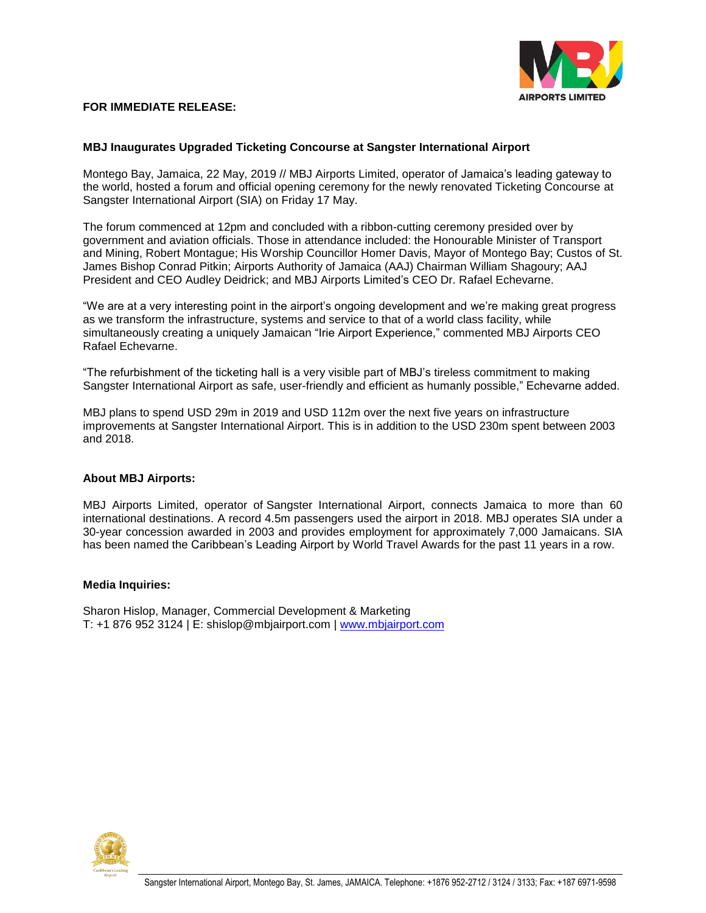

## **FOR IMMEDIATE RELEASE:**

## **MBJ Inaugurates Upgraded Ticketing Concourse at Sangster International Airport**

Montego Bay, Jamaica, 22 May, 2019 // MBJ Airports Limited, operator of Jamaica's leading gateway to the world, hosted a forum and official opening ceremony for the newly renovated Ticketing Concourse at Sangster International Airport (SIA) on Friday 17 May.

The forum commenced at 12pm and concluded with a ribbon-cutting ceremony presided over by government and aviation officials. Those in attendance included: the Honourable Minister of Transport and Mining, Robert Montague; His Worship Councillor Homer Davis, Mayor of Montego Bay; Custos of St. James Bishop Conrad Pitkin; Airports Authority of Jamaica (AAJ) Chairman William Shagoury; AAJ President and CEO Audley Deidrick; and MBJ Airports Limited's CEO Dr. Rafael Echevarne.

"We are at a very interesting point in the airport's ongoing development and we're making great progress as we transform the infrastructure, systems and service to that of a world class facility, while simultaneously creating a uniquely Jamaican "Irie Airport Experience," commented MBJ Airports CEO Rafael Echevarne.

"The refurbishment of the ticketing hall is a very visible part of MBJ's tireless commitment to making Sangster International Airport as safe, user-friendly and efficient as humanly possible," Echevarne added.

MBJ plans to spend USD 29m in 2019 and USD 112m over the next five years on infrastructure improvements at Sangster International Airport. This is in addition to the USD 230m spent between 2003 and 2018.

## **About MBJ Airports:**

MBJ Airports Limited, operator of Sangster International Airport, connects Jamaica to more than 60 international destinations. A record 4.5m passengers used the airport in 2018. MBJ operates SIA under a 30-year concession awarded in 2003 and provides employment for approximately 7,000 Jamaicans. SIA has been named the Caribbean's Leading Airport by World Travel Awards for the past 11 years in a row.

## **Media Inquiries:**

Sharon Hislop, Manager, Commercial Development & Marketing T: +1 876 952 3124 | E: shislop@mbjairport.com | [www.mbjairport.com](http://www.mbjairport.com/)